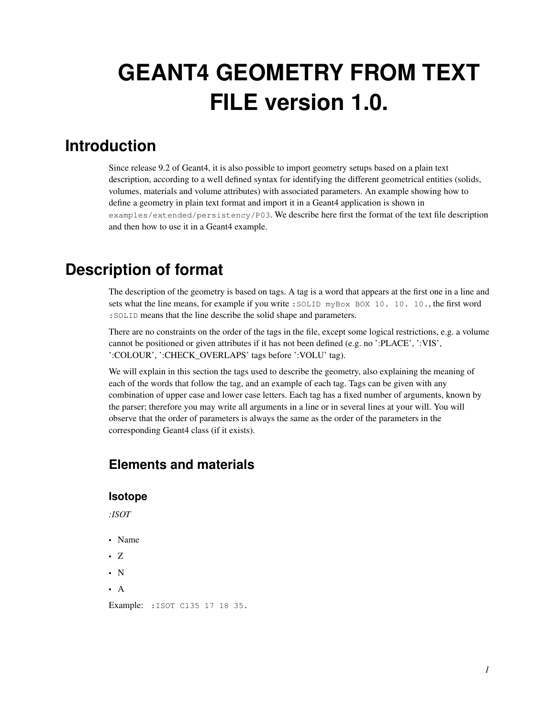# **GEANT4 GEOMETRY FROM TEXT FILE version 1.0.**

# **Introduction**

Since release 9.2 of Geant4, it is also possible to import geometry setups based on a plain text description, according to a well defined syntax for identifying the different geometrical entities (solids, volumes, materials and volume attributes) with associated parameters. An example showing how to define a geometry in plain text format and import it in a Geant4 application is shown in examples/extended/persistency/P03. We describe here first the format of the text file description and then how to use it in a Geant4 example.

# **Description of format**

The description of the geometry is based on tags. A tag is a word that appears at the first one in a line and sets what the line means, for example if you write : SOLID myBox BOX 10. 10. 10., the first word :SOLID means that the line describe the solid shape and parameters.

There are no constraints on the order of the tags in the file, except some logical restrictions, e.g. a volume cannot be positioned or given attributes if it has not been defined (e.g. no ':PLACE', ':VIS', ':COLOUR', ':CHECK\_OVERLAPS' tags before ':VOLU' tag).

We will explain in this section the tags used to describe the geometry, also explaining the meaning of each of the words that follow the tag, and an example of each tag. Tags can be given with any combination of upper case and lower case letters. Each tag has a fixed number of arguments, known by the parser; therefore you may write all arguments in a line or in several lines at your will. You will observe that the order of parameters is always the same as the order of the parameters in the corresponding Geant4 class (if it exists).

# **Elements and materials**

#### **Isotope**

*:ISOT*

- Name
- Z
- N
- A

Example: : ISOT C135 17 18 35.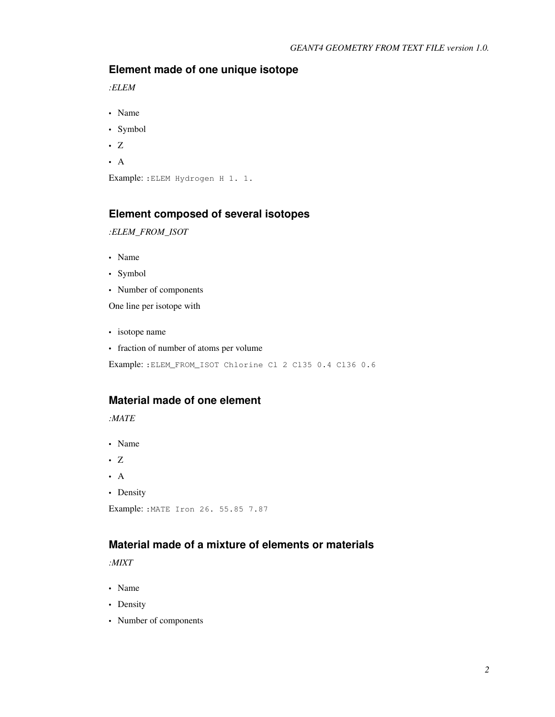#### **Element made of one unique isotope**

*:ELEM*

- Name
- Symbol
- Z
- A

Example: :ELEM Hydrogen H 1. 1.

#### **Element composed of several isotopes**

*:ELEM\_FROM\_ISOT*

- Name
- Symbol
- Number of components

One line per isotope with

- isotope name
- fraction of number of atoms per volume

Example: :ELEM\_FROM\_ISOT Chlorine Cl 2 Cl35 0.4 Cl36 0.6

#### **Material made of one element**

*:MATE*

- Name
- Z
- A
- Density

```
Example: :MATE Iron 26. 55.85 7.87
```
## **Material made of a mixture of elements or materials**

*:MIXT*

- Name
- Density
- Number of components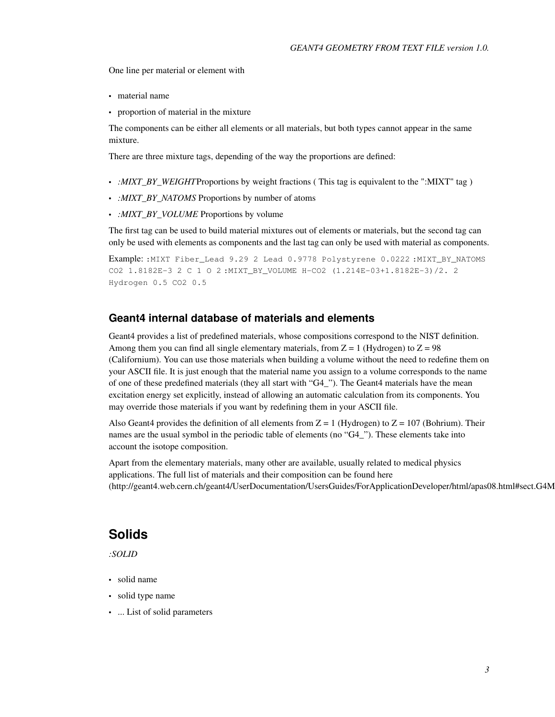One line per material or element with

- material name
- proportion of material in the mixture

The components can be either all elements or all materials, but both types cannot appear in the same mixture.

There are three mixture tags, depending of the way the proportions are defined:

- *:MIXT\_BY\_WEIGHT*Proportions by weight fractions (This tag is equivalent to the ":MIXT" tag )
- *:MIXT\_BY\_NATOMS* Proportions by number of atoms
- *:MIXT\_BY\_VOLUME* Proportions by volume

The first tag can be used to build material mixtures out of elements or materials, but the second tag can only be used with elements as components and the last tag can only be used with material as components.

Example: :MIXT Fiber\_Lead 9.29 2 Lead 0.9778 Polystyrene 0.0222 :MIXT\_BY\_NATOMS CO2 1.8182E-3 2 C 1 O 2 :MIXT\_BY\_VOLUME H-CO2 (1.214E-03+1.8182E-3)/2. 2 Hydrogen 0.5 CO2 0.5

#### **Geant4 internal database of materials and elements**

Geant4 provides a list of predefined materials, whose compositions correspond to the NIST definition. Among them you can find all single elementary materials, from  $Z = 1$  (Hydrogen) to  $Z = 98$ (Californium). You can use those materials when building a volume without the need to redefine them on your ASCII file. It is just enough that the material name you assign to a volume corresponds to the name of one of these predefined materials (they all start with "G4\_"). The Geant4 materials have the mean excitation energy set explicitly, instead of allowing an automatic calculation from its components. You may override those materials if you want by redefining them in your ASCII file.

Also Geant4 provides the definition of all elements from  $Z = 1$  (Hydrogen) to  $Z = 107$  (Bohrium). Their names are the usual symbol in the periodic table of elements (no "G4\_"). These elements take into account the isotope composition.

Apart from the elementary materials, many other are available, usually related to medical physics applications. The full list of materials and their composition can be found here (http://geant4.web.cern.ch/geant4/UserDocumentation/UsersGuides/ForApplicationDeveloper/html/apas08.html#sect.G4M

#### **Solids**

*:SOLID*

- solid name
- solid type name
- ... List of solid parameters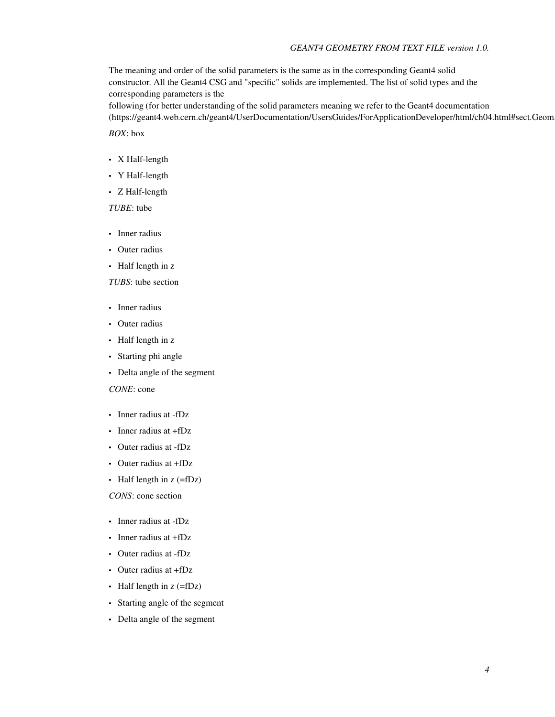The meaning and order of the solid parameters is the same as in the corresponding Geant4 solid constructor. All the Geant4 CSG and "specific" solids are implemented. The list of solid types and the corresponding parameters is the

following (for better understanding of the solid parameters meaning we refer to the Geant4 documentation (https://geant4.web.cern.ch/geant4/UserDocumentation/UsersGuides/ForApplicationDeveloper/html/ch04.html#sect.Geom

*BOX*: box

- X Half-length
- Y Half-length
- Z Half-length

*TUBE*: tube

- Inner radius
- Outer radius
- Half length in z

*TUBS*: tube section

- Inner radius
- Outer radius
- Half length in z
- Starting phi angle
- Delta angle of the segment

*CONE*: cone

- Inner radius at -fDz
- Inner radius at +fDz
- Outer radius at -fDz
- Outer radius at +fDz
- Half length in  $z$  (=fDz)

*CONS*: cone section

- Inner radius at -fDz
- Inner radius at +fDz
- Outer radius at -fDz
- Outer radius at +fDz
- Half length in z (=fDz)
- Starting angle of the segment
- Delta angle of the segment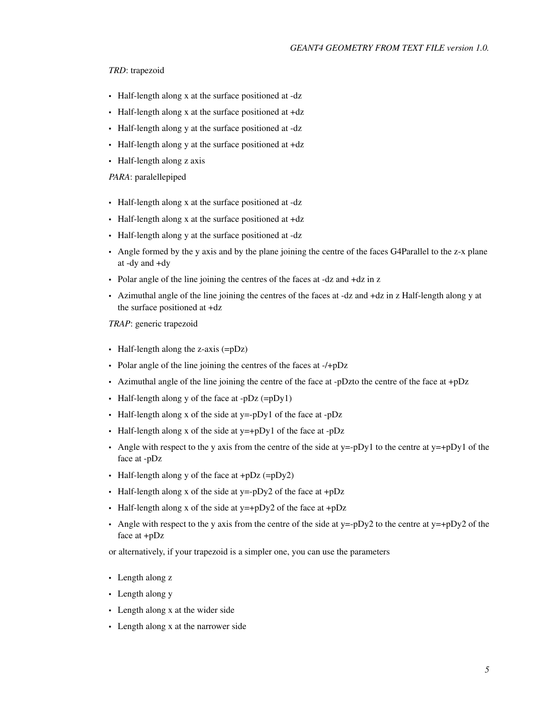#### *TRD*: trapezoid

- Half-length along x at the surface positioned at -dz
- Half-length along x at the surface positioned at +dz
- Half-length along y at the surface positioned at -dz
- Half-length along y at the surface positioned at +dz
- Half-length along z axis

#### *PARA*: paralellepiped

- Half-length along x at the surface positioned at -dz
- Half-length along x at the surface positioned at +dz
- Half-length along y at the surface positioned at -dz
- Angle formed by the y axis and by the plane joining the centre of the faces G4Parallel to the z-x plane at -dy and +dy
- Polar angle of the line joining the centres of the faces at -dz and +dz in z
- Azimuthal angle of the line joining the centres of the faces at -dz and +dz in z Half-length along y at the surface positioned at +dz

*TRAP*: generic trapezoid

- Half-length along the z-axis (=pDz)
- Polar angle of the line joining the centres of the faces at -/+pDz
- Azimuthal angle of the line joining the centre of the face at -pDzto the centre of the face at +pDz
- Half-length along y of the face at -pDz (=pDy1)
- Half-length along x of the side at y=-pDy1 of the face at -pDz
- Half-length along x of the side at y=+pDy1 of the face at -pDz
- Angle with respect to the y axis from the centre of the side at y=-pDy1 to the centre at y=+pDy1 of the face at -pDz
- Half-length along y of the face at  $+pDz$  (= $pDy2$ )
- Half-length along x of the side at  $y = -pDy^2$  of the face at  $+pDz$
- Half-length along x of the side at y=+pDy2 of the face at +pDz
- Angle with respect to the y axis from the centre of the side at y=-pDy2 to the centre at y=+pDy2 of the face at +pDz

or alternatively, if your trapezoid is a simpler one, you can use the parameters

- Length along z
- Length along y
- Length along x at the wider side
- Length along x at the narrower side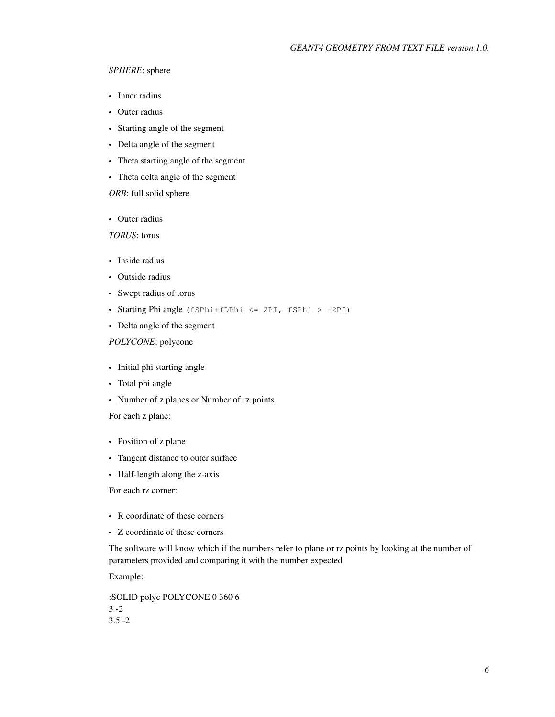#### *SPHERE*: sphere

- Inner radius
- Outer radius
- Starting angle of the segment
- Delta angle of the segment
- Theta starting angle of the segment
- Theta delta angle of the segment

#### *ORB*: full solid sphere

• Outer radius

*TORUS*: torus

- Inside radius
- Outside radius
- Swept radius of torus
- Starting Phi angle (fSPhi+fDPhi <= 2PI, fSPhi > -2PI)
- Delta angle of the segment

#### *POLYCONE*: polycone

- Initial phi starting angle
- Total phi angle
- Number of z planes or Number of rz points

#### For each z plane:

- Position of z plane
- Tangent distance to outer surface
- Half-length along the z-axis

For each rz corner:

- R coordinate of these corners
- Z coordinate of these corners

The software will know which if the numbers refer to plane or rz points by looking at the number of parameters provided and comparing it with the number expected

Example:

:SOLID polyc POLYCONE 0 360 6 3 -2  $3.5 - 2$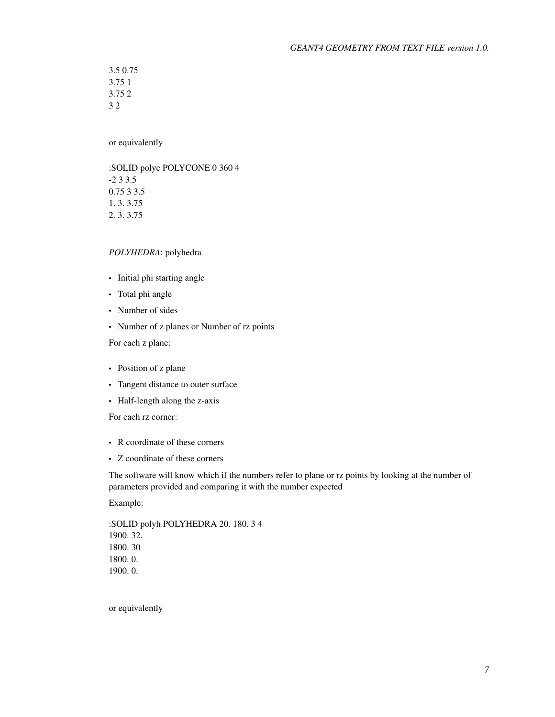3.5 0.75 3.75 1 3.75 2 3 2

or equivalently

:SOLID polyc POLYCONE 0 360 4 -2 3 3.5 0.75 3 3.5 1. 3. 3.75 2. 3. 3.75

#### *POLYHEDRA*: polyhedra

- Initial phi starting angle
- Total phi angle
- Number of sides
- Number of z planes or Number of rz points

For each z plane:

- Position of z plane
- Tangent distance to outer surface
- Half-length along the z-axis

For each rz corner:

- R coordinate of these corners
- Z coordinate of these corners

The software will know which if the numbers refer to plane or rz points by looking at the number of parameters provided and comparing it with the number expected

Example:

:SOLID polyh POLYHEDRA 20. 180. 3 4 1900. 32. 1800. 30 1800. 0. 1900. 0.

or equivalently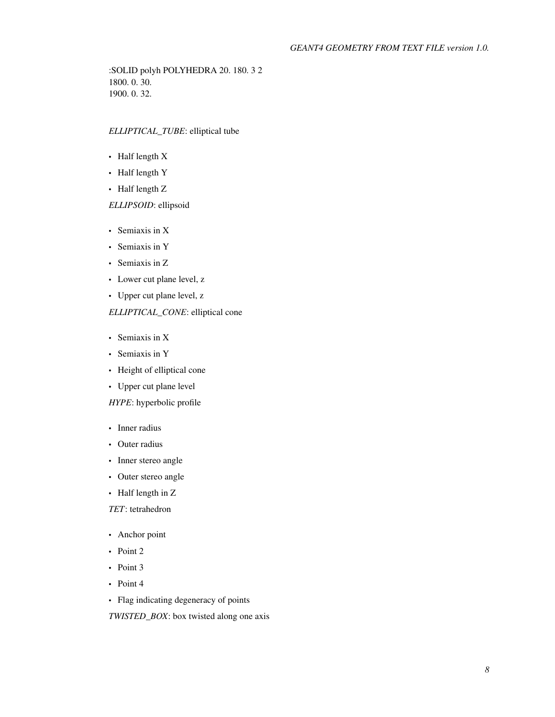:SOLID polyh POLYHEDRA 20. 180. 3 2 1800. 0. 30. 1900. 0. 32.

#### *ELLIPTICAL\_TUBE*: elliptical tube

- Half length X
- Half length Y
- Half length Z

#### *ELLIPSOID*: ellipsoid

- Semiaxis in X
- Semiaxis in Y
- Semiaxis in Z
- Lower cut plane level, z
- Upper cut plane level, z

#### *ELLIPTICAL\_CONE*: elliptical cone

- Semiaxis in X
- Semiaxis in Y
- Height of elliptical cone
- Upper cut plane level

#### *HYPE*: hyperbolic profile

- Inner radius
- Outer radius
- Inner stereo angle
- Outer stereo angle
- Half length in Z

*TET*: tetrahedron

- Anchor point
- Point 2
- Point 3
- Point 4
- Flag indicating degeneracy of points

*TWISTED\_BOX*: box twisted along one axis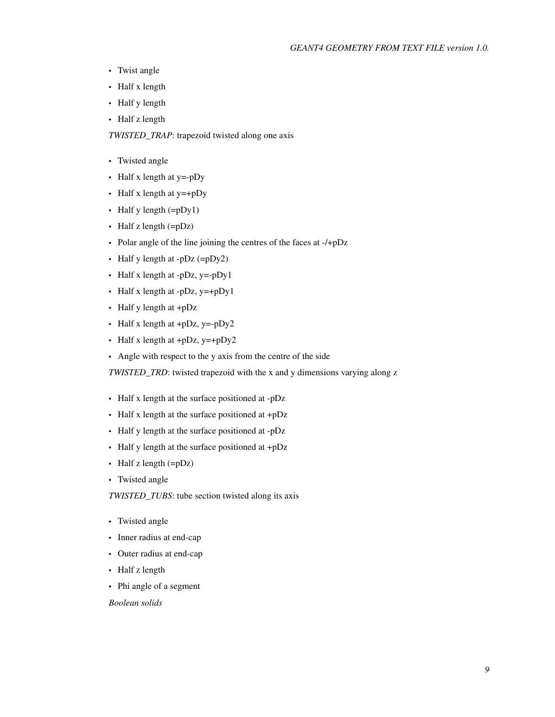- Twist angle
- Half x length
- Half y length
- Half z length

*TWISTED\_TRAP*: trapezoid twisted along one axis

- Twisted angle
- Half x length at y=-pDy
- Half x length at y=+pDy
- Half y length (=pDy1)
- Half z length  $(=pDz)$
- Polar angle of the line joining the centres of the faces at -/+pDz
- Half y length at  $-pDz$  (= $pDy2$ )
- Half x length at -pDz,  $y = -pDy1$
- Half x length at -pDz, y=+pDy1
- Half y length at +pDz
- Half x length at  $+pDz$ , y=-pDy2
- Half x length at  $+pDz$ ,  $y=+pDy2$
- Angle with respect to the y axis from the centre of the side

*TWISTED\_TRD*: twisted trapezoid with the x and y dimensions varying along z

- Half x length at the surface positioned at -pDz
- Half x length at the surface positioned at +pDz
- Half y length at the surface positioned at -pDz
- Half y length at the surface positioned at +pDz
- Half z length (=pDz)
- Twisted angle

*TWISTED\_TUBS*: tube section twisted along its axis

- Twisted angle
- Inner radius at end-cap
- Outer radius at end-cap
- Half z length
- Phi angle of a segment

*Boolean solids*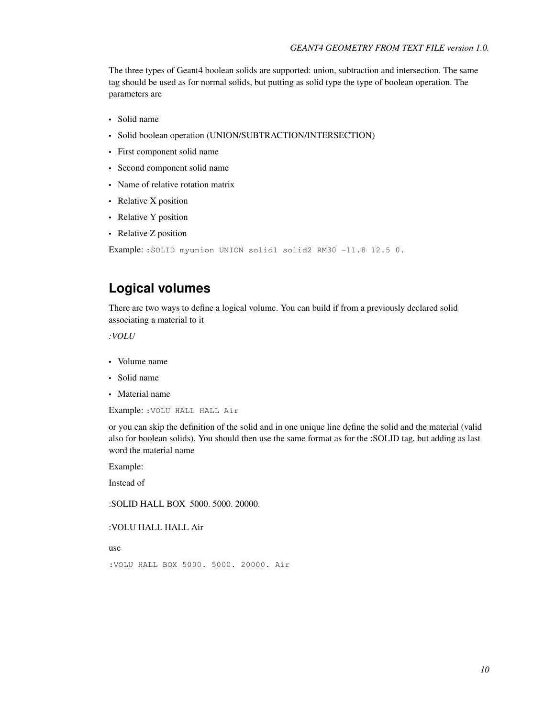The three types of Geant4 boolean solids are supported: union, subtraction and intersection. The same tag should be used as for normal solids, but putting as solid type the type of boolean operation. The parameters are

- Solid name
- Solid boolean operation (UNION/SUBTRACTION/INTERSECTION)
- First component solid name
- Second component solid name
- Name of relative rotation matrix
- Relative X position
- Relative Y position
- Relative Z position

```
Example: : SOLID myunion UNION solid1 solid2 RM30 -11.8 12.5 0.
```
# **Logical volumes**

There are two ways to define a logical volume. You can build if from a previously declared solid associating a material to it

*:VOLU*

- Volume name
- Solid name
- Material name

Example: :VOLU HALL HALL Air

or you can skip the definition of the solid and in one unique line define the solid and the material (valid also for boolean solids). You should then use the same format as for the :SOLID tag, but adding as last word the material name

Example:

Instead of

:SOLID HALL BOX 5000. 5000. 20000.

:VOLU HALL HALL Air

use

```
:VOLU HALL BOX 5000. 5000. 20000. Air
```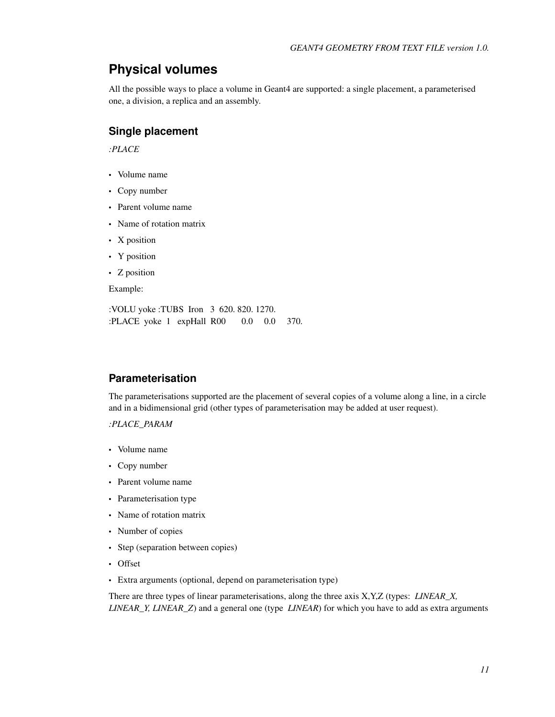# **Physical volumes**

All the possible ways to place a volume in Geant4 are supported: a single placement, a parameterised one, a division, a replica and an assembly.

#### **Single placement**

*:PLACE*

- Volume name
- Copy number
- Parent volume name
- Name of rotation matrix
- X position
- Y position
- Z position

Example:

:VOLU yoke :TUBS Iron 3 620. 820. 1270. :PLACE yoke 1 expHall R00 0.0 0.0 370.

#### **Parameterisation**

The parameterisations supported are the placement of several copies of a volume along a line, in a circle and in a bidimensional grid (other types of parameterisation may be added at user request).

*:PLACE\_PARAM*

- Volume name
- Copy number
- Parent volume name
- Parameterisation type
- Name of rotation matrix
- Number of copies
- Step (separation between copies)
- Offset
- Extra arguments (optional, depend on parameterisation type)

There are three types of linear parameterisations, along the three axis X,Y,Z (types: *LINEAR\_X, LINEAR\_Y, LINEAR\_Z*) and a general one (type *LINEAR*) for which you have to add as extra arguments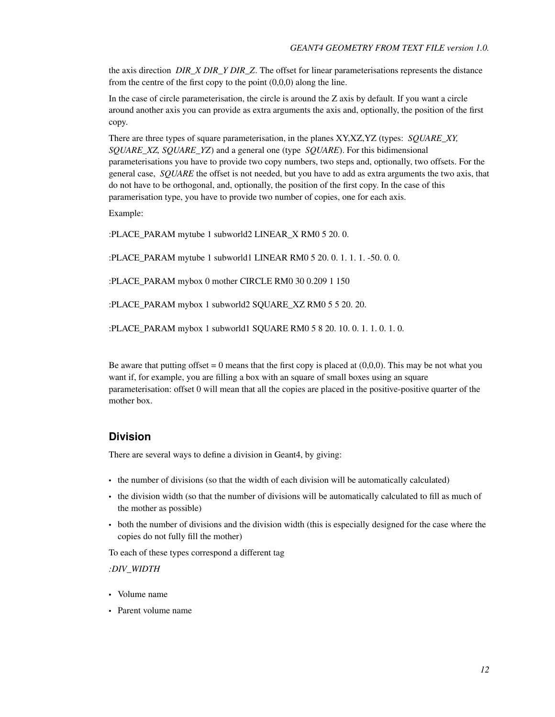the axis direction *DIR\_X DIR\_Y DIR\_Z*. The offset for linear parameterisations represents the distance from the centre of the first copy to the point  $(0,0,0)$  along the line.

In the case of circle parameterisation, the circle is around the Z axis by default. If you want a circle around another axis you can provide as extra arguments the axis and, optionally, the position of the first copy.

There are three types of square parameterisation, in the planes XY,XZ,YZ (types: *SQUARE\_XY, SQUARE\_XZ, SQUARE\_YZ*) and a general one (type *SQUARE*). For this bidimensional parameterisations you have to provide two copy numbers, two steps and, optionally, two offsets. For the general case, *SQUARE* the offset is not needed, but you have to add as extra arguments the two axis, that do not have to be orthogonal, and, optionally, the position of the first copy. In the case of this paramerisation type, you have to provide two number of copies, one for each axis.

Example:

:PLACE\_PARAM mytube 1 subworld2 LINEAR\_X RM0 5 20. 0.

:PLACE\_PARAM mytube 1 subworld1 LINEAR RM0 5 20. 0. 1. 1. 1. -50. 0. 0.

:PLACE\_PARAM mybox 0 mother CIRCLE RM0 30 0.209 1 150

:PLACE\_PARAM mybox 1 subworld2 SQUARE\_XZ RM0 5 5 20. 20.

:PLACE\_PARAM mybox 1 subworld1 SQUARE RM0 5 8 20. 10. 0. 1. 1. 0. 1. 0.

Be aware that putting offset  $= 0$  means that the first copy is placed at  $(0,0,0)$ . This may be not what you want if, for example, you are filling a box with an square of small boxes using an square parameterisation: offset 0 will mean that all the copies are placed in the positive-positive quarter of the mother box.

#### **Division**

There are several ways to define a division in Geant4, by giving:

- the number of divisions (so that the width of each division will be automatically calculated)
- the division width (so that the number of divisions will be automatically calculated to fill as much of the mother as possible)
- both the number of divisions and the division width (this is especially designed for the case where the copies do not fully fill the mother)

To each of these types correspond a different tag

*:DIV\_WIDTH*

- Volume name
- Parent volume name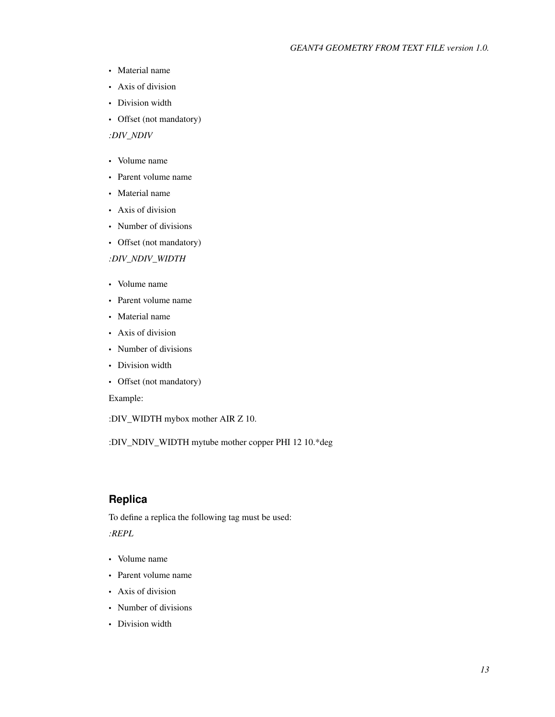- Material name
- Axis of division
- Division width
- Offset (not mandatory)

*:DIV\_NDIV*

- Volume name
- Parent volume name
- Material name
- Axis of division
- Number of divisions
- Offset (not mandatory)

*:DIV\_NDIV\_WIDTH*

- Volume name
- Parent volume name
- Material name
- Axis of division
- Number of divisions
- Division width
- Offset (not mandatory)

Example:

:DIV\_WIDTH mybox mother AIR Z 10.

:DIV\_NDIV\_WIDTH mytube mother copper PHI 12 10.\*deg

#### **Replica**

To define a replica the following tag must be used:

*:REPL*

- Volume name
- Parent volume name
- Axis of division
- Number of divisions
- Division width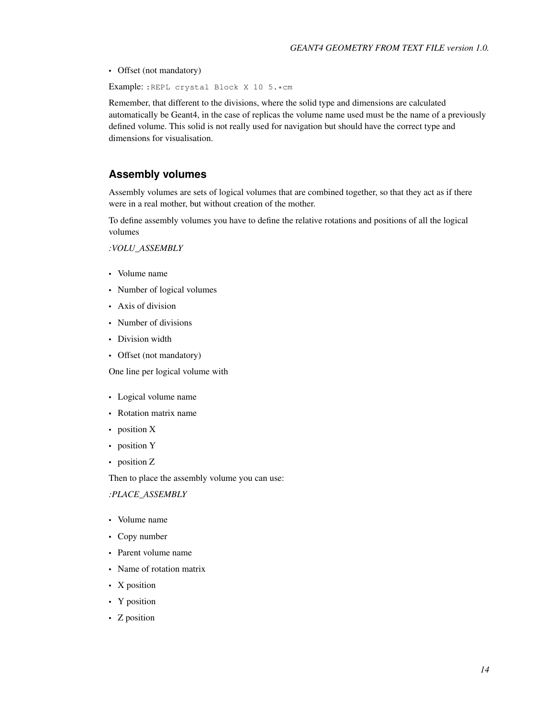• Offset (not mandatory)

Example: :REPL crystal Block X 10 5.\*cm

Remember, that different to the divisions, where the solid type and dimensions are calculated automatically be Geant4, in the case of replicas the volume name used must be the name of a previously defined volume. This solid is not really used for navigation but should have the correct type and dimensions for visualisation.

#### **Assembly volumes**

Assembly volumes are sets of logical volumes that are combined together, so that they act as if there were in a real mother, but without creation of the mother.

To define assembly volumes you have to define the relative rotations and positions of all the logical volumes

*:VOLU\_ASSEMBLY*

- Volume name
- Number of logical volumes
- Axis of division
- Number of divisions
- Division width
- Offset (not mandatory)

One line per logical volume with

- Logical volume name
- Rotation matrix name
- position X
- position Y
- position Z

Then to place the assembly volume you can use:

#### *:PLACE\_ASSEMBLY*

- Volume name
- Copy number
- Parent volume name
- Name of rotation matrix
- X position
- Y position
- Z position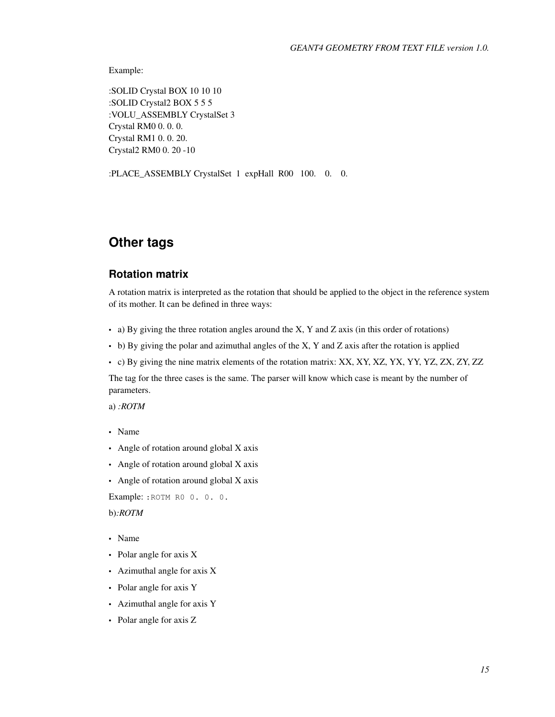Example:

:SOLID Crystal BOX 10 10 10 :SOLID Crystal2 BOX 5 5 5 :VOLU\_ASSEMBLY CrystalSet 3 Crystal RM0 0. 0. 0. Crystal RM1 0. 0. 20. Crystal2 RM0 0. 20 -10

:PLACE\_ASSEMBLY CrystalSet 1 expHall R00 100. 0. 0.

# **Other tags**

#### **Rotation matrix**

A rotation matrix is interpreted as the rotation that should be applied to the object in the reference system of its mother. It can be defined in three ways:

- a) By giving the three rotation angles around the X, Y and Z axis (in this order of rotations)
- b) By giving the polar and azimuthal angles of the X, Y and Z axis after the rotation is applied
- c) By giving the nine matrix elements of the rotation matrix: XX, XY, XZ, YX, YY, YZ, ZX, ZY, ZZ

The tag for the three cases is the same. The parser will know which case is meant by the number of parameters.

a) *:ROTM*

- Name
- Angle of rotation around global X axis
- Angle of rotation around global X axis
- Angle of rotation around global X axis

Example: :ROTM R0 0. 0. 0.

b)*:ROTM*

- Name
- Polar angle for axis X
- Azimuthal angle for axis X
- Polar angle for axis Y
- Azimuthal angle for axis Y
- Polar angle for axis Z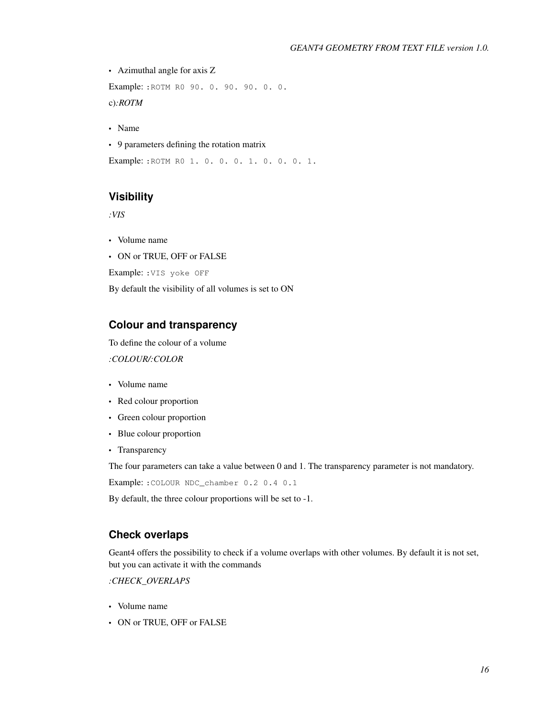#### *GEANT4 GEOMETRY FROM TEXT FILE version 1.0.*

• Azimuthal angle for axis Z

Example: :ROTM R0 90. 0. 90. 90. 0. 0.

c)*:ROTM*

- Name
- 9 parameters defining the rotation matrix

Example: :ROTM R0 1. 0. 0. 0. 1. 0. 0. 0. 1.

#### **Visibility**

*:VIS*

- Volume name
- ON or TRUE, OFF or FALSE

Example: :VIS yoke OFF

By default the visibility of all volumes is set to ON

#### **Colour and transparency**

To define the colour of a volume

*:COLOUR/:COLOR*

- Volume name
- Red colour proportion
- Green colour proportion
- Blue colour proportion
- Transparency

The four parameters can take a value between 0 and 1. The transparency parameter is not mandatory.

Example: :COLOUR NDC\_chamber 0.2 0.4 0.1

By default, the three colour proportions will be set to -1.

#### **Check overlaps**

Geant4 offers the possibility to check if a volume overlaps with other volumes. By default it is not set, but you can activate it with the commands

*:CHECK\_OVERLAPS*

- Volume name
- ON or TRUE, OFF or FALSE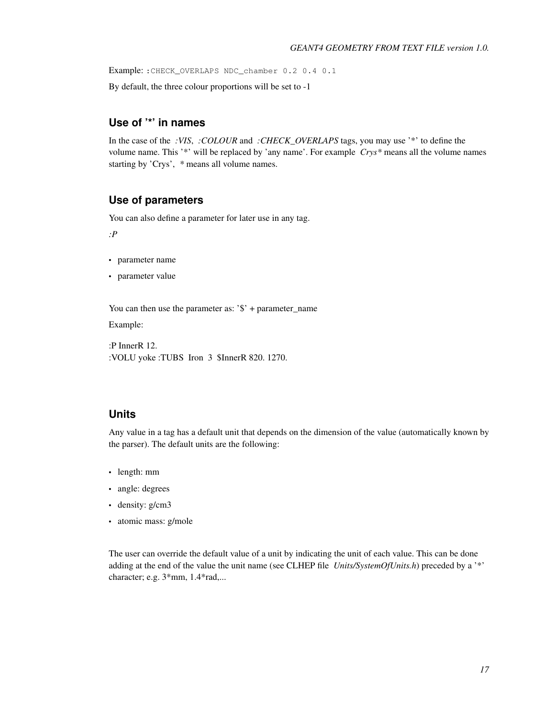Example: :CHECK\_OVERLAPS NDC\_chamber 0.2 0.4 0.1

By default, the three colour proportions will be set to -1

### **Use of '\*' in names**

In the case of the *:VIS*, *:COLOUR* and *:CHECK\_OVERLAPS* tags, you may use '\*' to define the volume name. This '\*' will be replaced by 'any name'. For example *Crys\** means all the volume names starting by 'Crys', *\** means all volume names.

#### **Use of parameters**

You can also define a parameter for later use in any tag.

*:P*

- parameter name
- parameter value

You can then use the parameter as: '\$' + parameter\_name

Example:

:P InnerR 12. :VOLU yoke :TUBS Iron 3 \$InnerR 820. 1270.

#### **Units**

Any value in a tag has a default unit that depends on the dimension of the value (automatically known by the parser). The default units are the following:

- length: mm
- angle: degrees
- density: g/cm3
- atomic mass: g/mole

The user can override the default value of a unit by indicating the unit of each value. This can be done adding at the end of the value the unit name (see CLHEP file *Units/SystemOfUnits.h*) preceded by a '\*' character; e.g. 3\*mm, 1.4\*rad,...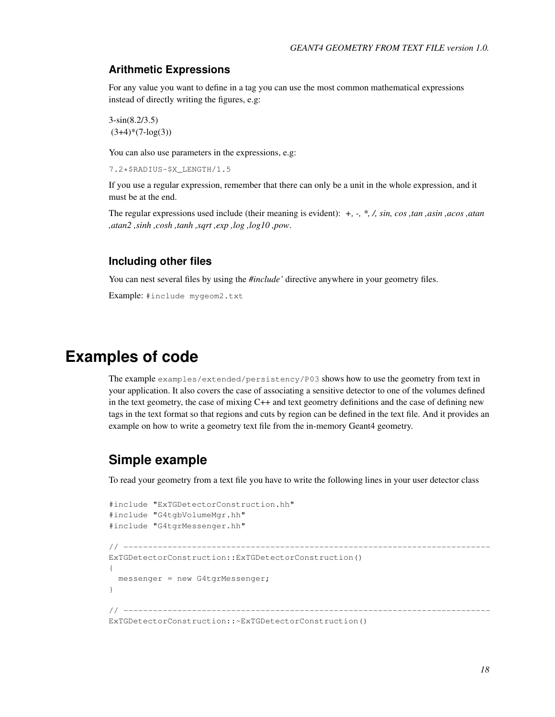#### **Arithmetic Expressions**

For any value you want to define in a tag you can use the most common mathematical expressions instead of directly writing the figures, e.g:

3-sin(8.2/3.5)  $(3+4)*(7-\log(3))$ 

You can also use parameters in the expressions, e.g:

7.2\*\$RADIUS-\$X\_LENGTH/1.5

If you use a regular expression, remember that there can only be a unit in the whole expression, and it must be at the end.

The regular expressions used include (their meaning is evident): *+, -, \*, /, sin, cos ,tan ,asin ,acos ,atan ,atan2 ,sinh ,cosh ,tanh ,sqrt ,exp ,log ,log10 ,pow*.

#### **Including other files**

You can nest several files by using the *#include'* directive anywhere in your geometry files.

Example: #include mygeom2.txt

# **Examples of code**

The example examples/extended/persistency/P03 shows how to use the geometry from text in your application. It also covers the case of associating a sensitive detector to one of the volumes defined in the text geometry, the case of mixing C++ and text geometry definitions and the case of defining new tags in the text format so that regions and cuts by region can be defined in the text file. And it provides an example on how to write a geometry text file from the in-memory Geant4 geometry.

# **Simple example**

To read your geometry from a text file you have to write the following lines in your user detector class

```
#include "ExTGDetectorConstruction.hh"
#include "G4tgbVolumeMgr.hh"
#include "G4tgrMessenger.hh"
// ---------------------------------------------------------------------------
ExTGDetectorConstruction::ExTGDetectorConstruction()
{
 messenger = new G4tgrMessenger;
}
// ---------------------------------------------------------------------------
ExTGDetectorConstruction::~ExTGDetectorConstruction()
```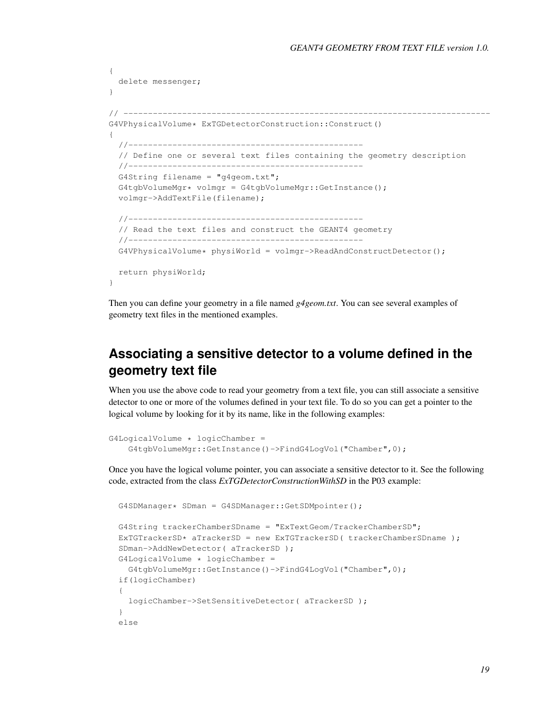```
{
 delete messenger;
}
// ---------------------------------------------------------------------------
G4VPhysicalVolume* ExTGDetectorConstruction::Construct()
{
  //------------------------------------------------
  // Define one or several text files containing the geometry description
  //------------------------------------------------
  G4String filename = "q4qeom.txt";
  G4tgbVolumeMgr* volmgr = G4tgbVolumeMgr::GetInstance();
  volmgr->AddTextFile(filename);
  //------------------------------------------------
  // Read the text files and construct the GEANT4 geometry
  //------------------------------------------------
  G4VPhysicalVolume* physiWorld = volume->ReadAndConstructDetector();
  return physiWorld;
}
```
Then you can define your geometry in a file named *g4geom.txt*. You can see several examples of geometry text files in the mentioned examples.

# **Associating a sensitive detector to a volume defined in the geometry text file**

When you use the above code to read your geometry from a text file, you can still associate a sensitive detector to one or more of the volumes defined in your text file. To do so you can get a pointer to the logical volume by looking for it by its name, like in the following examples:

```
G4LogicalVolume * logicChamber =
    G4tgbVolumeMgr::GetInstance()->FindG4LogVol("Chamber",0);
```
Once you have the logical volume pointer, you can associate a sensitive detector to it. See the following code, extracted from the class *ExTGDetectorConstructionWithSD* in the P03 example:

```
G4SDManager* SDman = G4SDManager::GetSDMpointer();
G4String trackerChamberSDname = "ExTextGeom/TrackerChamberSD";
ExTGTrackerSD* aTrackerSD = new ExTGTrackerSD( trackerChamberSDname );
SDman->AddNewDetector( aTrackerSD );
G4LogicalVolume * logicChamber =
  G4tgbVolumeMgr::GetInstance()->FindG4LogVol("Chamber",0);
if(logicChamber)
{
  logicChamber->SetSensitiveDetector( aTrackerSD );
}
else
```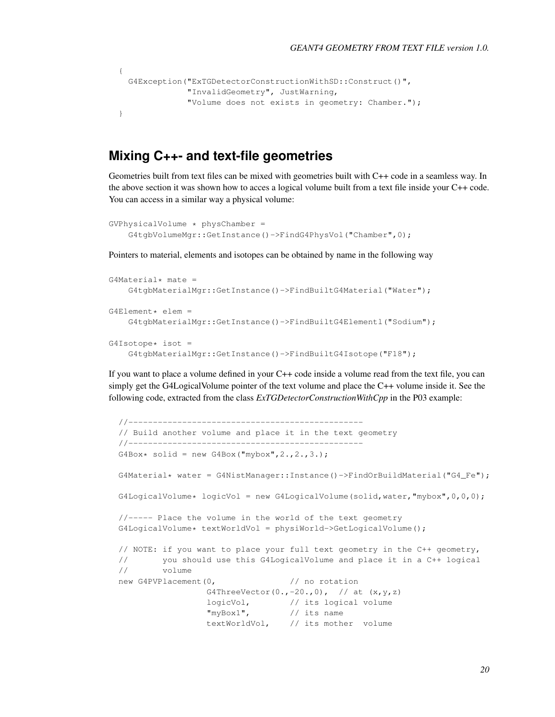```
{
  G4Exception("ExTGDetectorConstructionWithSD::Construct()",
              "InvalidGeometry", JustWarning,
              "Volume does not exists in geometry: Chamber.");
}
```
## **Mixing C++- and text-file geometries**

Geometries built from text files can be mixed with geometries built with C++ code in a seamless way. In the above section it was shown how to acces a logical volume built from a text file inside your C++ code. You can access in a similar way a physical volume:

```
GVPhysicalVolume * physChamber =
   G4tgbVolumeMgr::GetInstance()->FindG4PhysVol("Chamber",0);
```
Pointers to material, elements and isotopes can be obtained by name in the following way

```
G4Material* mate =
    G4tgbMaterialMgr::GetInstance()->FindBuiltG4Material("Water");
G4Element* elem =
    G4tgbMaterialMgr::GetInstance()->FindBuiltG4Elementl("Sodium");
G4Isotope* isot =G4tgbMaterialMgr::GetInstance()->FindBuiltG4Isotope("F18");
```
If you want to place a volume defined in your C++ code inside a volume read from the text file, you can simply get the G4LogicalVolume pointer of the text volume and place the C++ volume inside it. See the following code, extracted from the class *ExTGDetectorConstructionWithCpp* in the P03 example:

```
//------------------------------------------------
// Build another volume and place it in the text geometry
//------------------------------------------------
G4Box* solid = new G4Box("mybox", 2., 2., 3.);G4Material* water = G4NistManager::Instance()->FindOrBuildMaterial("G4_Fe");
G4LogicalVolume* logicVol = new G4LogicalVolume(solid,water,"mybox",0,0,0);
//----- Place the volume in the world of the text geometry
G4LogicalVolume* textWorldVol = physiWorld->GetLogicalVolume();
// NOTE: if you want to place your full text geometry in the C++ geometry,
// you should use this G4LogicalVolume and place it in a C++ logical
// volume
new G4PVPlacement(0, \sqrt{2} // no rotation
                 G4ThreeVector(0., -20.,0), // at (x, y, z)logicVol, // its logical volume
                 "myBox1", // its name
                 textWorldVol, // its mother volume
```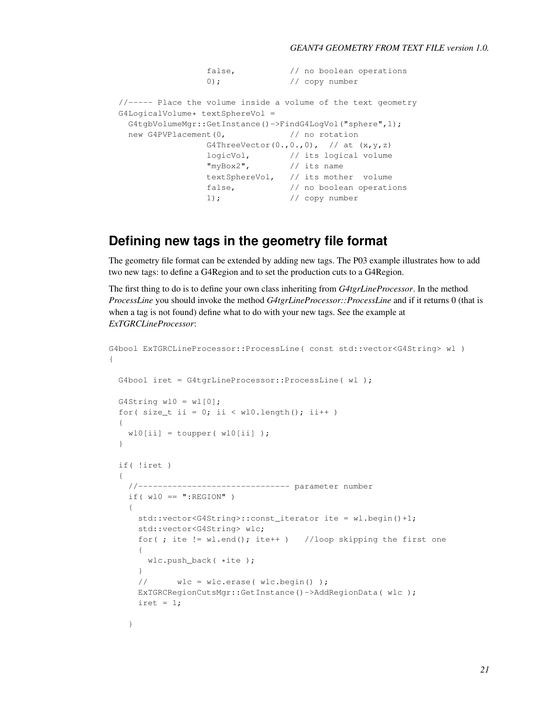```
false, \frac{1}{2} // no boolean operations
                 0); \frac{1}{2} // copy number
//----- Place the volume inside a volume of the text geometry
G4LogicalVolume* textSphereVol =
 G4tgbVolumeMgr::GetInstance()->FindG4LogVol("sphere",1);
 new G4PVPlacement(0, \frac{1}{\sqrt{2}} no rotation
                 G4ThreeVector(0.,0.,0), // at (x,y,z)logicVol, // its logical volume
                 "myBox2", // its name
                 textSphereVol, // its mother volume
                 false, \frac{1}{2} // no boolean operations
                 1); // copy number
```
# **Defining new tags in the geometry file format**

The geometry file format can be extended by adding new tags. The P03 example illustrates how to add two new tags: to define a G4Region and to set the production cuts to a G4Region.

The first thing to do is to define your own class inheriting from *G4tgrLineProcessor*. In the method *ProcessLine* you should invoke the method *G4tgrLineProcessor::ProcessLine* and if it returns 0 (that is when a tag is not found) define what to do with your new tags. See the example at *ExTGRCLineProcessor*:

```
G4bool ExTGRCLineProcessor::ProcessLine( const std::vector<G4String> wl )
{
 G4bool iret = G4tgrLineProcessor::ProcessLine( wl );
 G4String wl0 = wl[0];
 for( size_t ii = 0; ii < wl0.length(); ii++ )
  {
   wl0[i] = tower(wl0[i]) );
 }
 if( !iret )
 {
   //------------------------------- parameter number
   if( w10 == ":REGION" )
   {
     std::vector<G4String>::const_iterator ite = wl.begin()+1;
     std::vector<G4String> wlc;
     for( ; ite != wl.end(); ite++ ) //loop skipping the first one
      {
       wlc.push_back( *ite );
      }
     // wlc = wlc.erase( wlc.begin() );
     ExTGRCRegionCutsMgr::GetInstance()->AddRegionData( wlc );
     \text{iret} = 1;}
```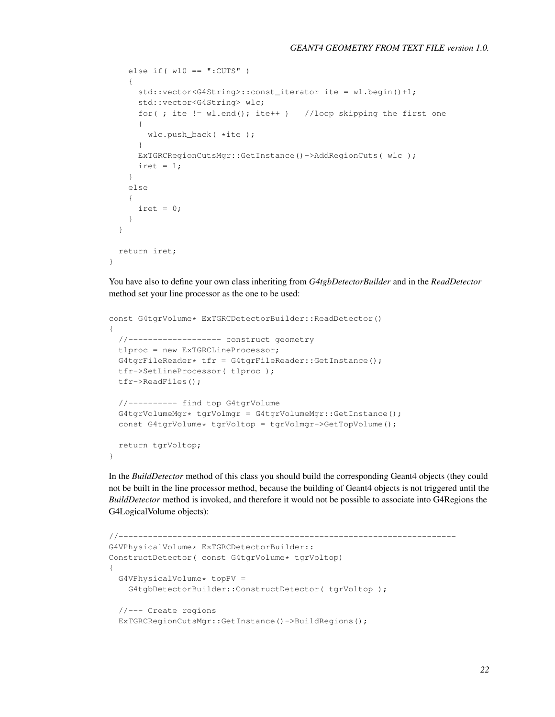```
else if(w10 == ":CUTS")
  {
    std::vector<G4String>::const_iterator ite = wl.begin()+1;
    std::vector<G4String> wlc;
    for( ; ite != wl.end(); ite++ ) //loop skipping the first one
    {
     wlc.push_back( *ite );
    }
    ExTGRCRegionCutsMgr::GetInstance()->AddRegionCuts( wlc );
    \text{iret} = 1;}
  else
  {
    \text{iret} = 0;
  }
}
return iret;
```
You have also to define your own class inheriting from *G4tgbDetectorBuilder* and in the *ReadDetector* method set your line processor as the one to be used:

```
const G4tgrVolume* ExTGRCDetectorBuilder::ReadDetector()
{
 //------------------- construct geometry
 tlproc = new ExTGRCLineProcessor;
 G4tgrFileReader* tfr = G4tgrFileReader::GetInstance();
 tfr->SetLineProcessor( tlproc );
 tfr->ReadFiles();
 //---------- find top G4tgrVolume
 G4tgrVolumeMgr* tgrVolmgr = G4tgrVolumeMgr::GetInstance();
 const G4tgrVolume* tgrVoltop = tgrVolmgr->GetTopVolume();
 return tgrVoltop;
}
```
}

In the *BuildDetector* method of this class you should build the corresponding Geant4 objects (they could not be built in the line processor method, because the building of Geant4 objects is not triggered until the *BuildDetector* method is invoked, and therefore it would not be possible to associate into G4Regions the G4LogicalVolume objects):

```
//---------------------------------------------------------------------
G4VPhysicalVolume* ExTGRCDetectorBuilder::
ConstructDetector( const G4tgrVolume* tgrVoltop)
{
  G4VPhysicalVolume* topPV =
    G4tgbDetectorBuilder::ConstructDetector( tgrVoltop );
  //--- Create regions
  ExTGRCRegionCutsMgr::GetInstance()->BuildRegions();
```